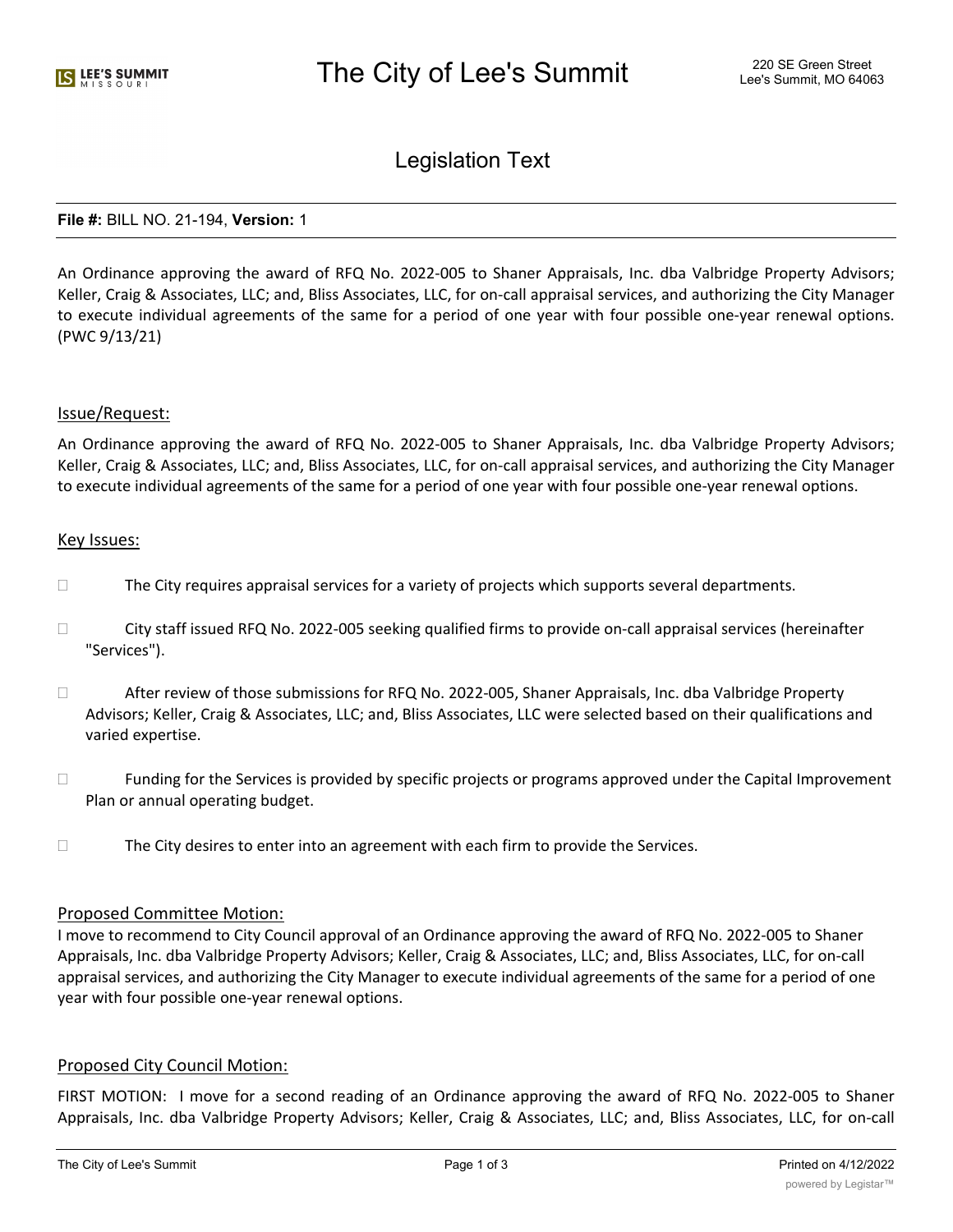# Legislation Text

#### **File #:** BILL NO. 21-194, **Version:** 1

An Ordinance approving the award of RFQ No. 2022-005 to Shaner Appraisals, Inc. dba Valbridge Property Advisors; Keller, Craig & Associates, LLC; and, Bliss Associates, LLC, for on-call appraisal services, and authorizing the City Manager to execute individual agreements of the same for a period of one year with four possible one-year renewal options. (PWC 9/13/21)

#### Issue/Request:

An Ordinance approving the award of RFQ No. 2022-005 to Shaner Appraisals, Inc. dba Valbridge Property Advisors; Keller, Craig & Associates, LLC; and, Bliss Associates, LLC, for on-call appraisal services, and authorizing the City Manager to execute individual agreements of the same for a period of one year with four possible one-year renewal options.

#### Key Issues:

- $\Box$  The City requires appraisal services for a variety of projects which supports several departments.
- □ City staff issued RFQ No. 2022-005 seeking qualified firms to provide on-call appraisal services (hereinafter "Services").
- After review of those submissions for RFQ No. 2022-005, Shaner Appraisals, Inc. dba Valbridge Property Advisors; Keller, Craig & Associates, LLC; and, Bliss Associates, LLC were selected based on their qualifications and varied expertise.
- $\Box$  Funding for the Services is provided by specific projects or programs approved under the Capital Improvement Plan or annual operating budget.
- $\Box$  The City desires to enter into an agreement with each firm to provide the Services.

#### Proposed Committee Motion:

I move to recommend to City Council approval of an Ordinance approving the award of RFQ No. 2022-005 to Shaner Appraisals, Inc. dba Valbridge Property Advisors; Keller, Craig & Associates, LLC; and, Bliss Associates, LLC, for on-call appraisal services, and authorizing the City Manager to execute individual agreements of the same for a period of one year with four possible one-year renewal options.

## Proposed City Council Motion:

FIRST MOTION: I move for a second reading of an Ordinance approving the award of RFQ No. 2022-005 to Shaner Appraisals, Inc. dba Valbridge Property Advisors; Keller, Craig & Associates, LLC; and, Bliss Associates, LLC, for on-call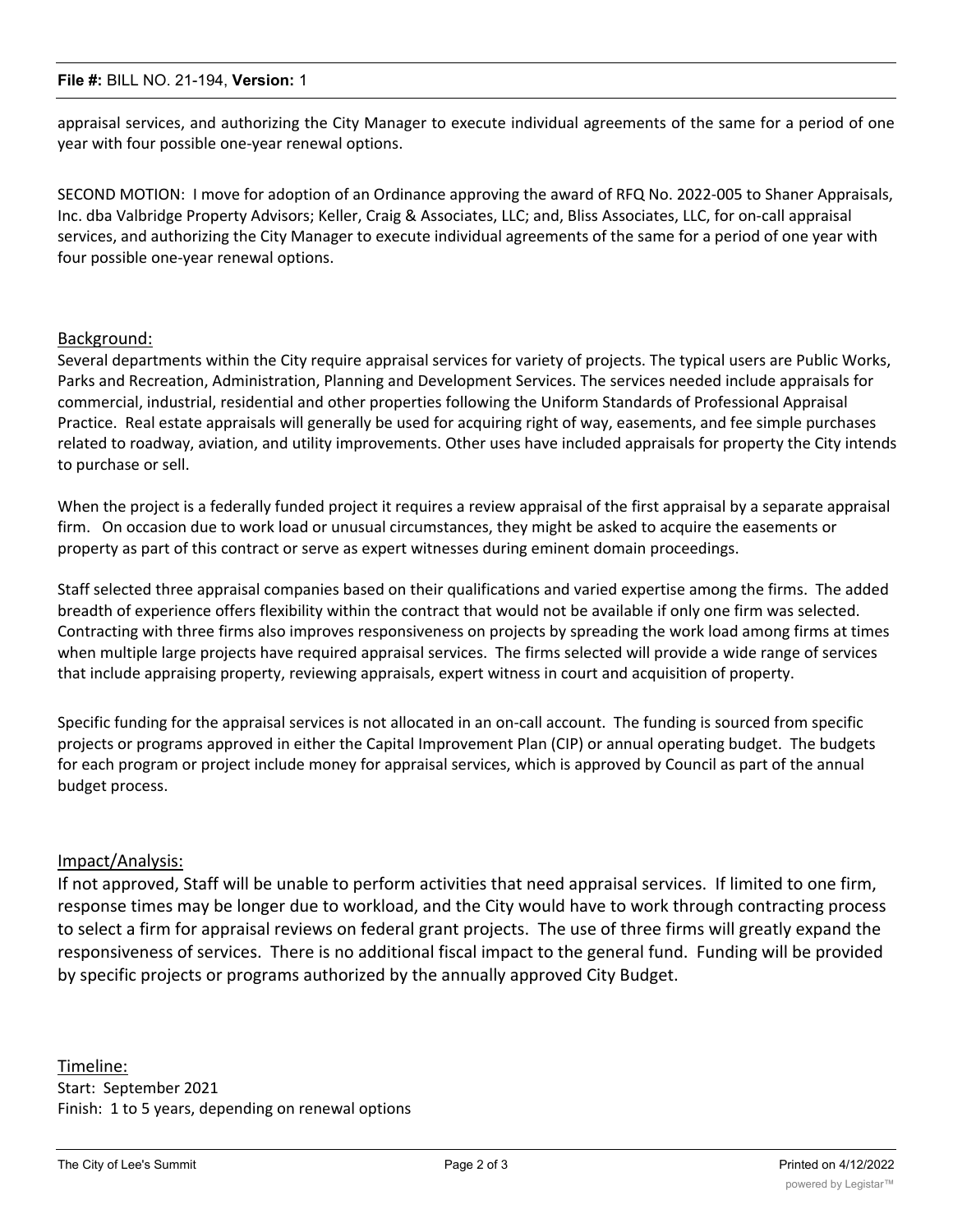appraisal services, and authorizing the City Manager to execute individual agreements of the same for a period of one year with four possible one-year renewal options.

SECOND MOTION: I move for adoption of an Ordinance approving the award of RFQ No. 2022-005 to Shaner Appraisals, Inc. dba Valbridge Property Advisors; Keller, Craig & Associates, LLC; and, Bliss Associates, LLC, for on-call appraisal services, and authorizing the City Manager to execute individual agreements of the same for a period of one year with four possible one-year renewal options.

# Background:

Several departments within the City require appraisal services for variety of projects. The typical users are Public Works, Parks and Recreation, Administration, Planning and Development Services. The services needed include appraisals for commercial, industrial, residential and other properties following the Uniform Standards of Professional Appraisal Practice. Real estate appraisals will generally be used for acquiring right of way, easements, and fee simple purchases related to roadway, aviation, and utility improvements. Other uses have included appraisals for property the City intends to purchase or sell.

When the project is a federally funded project it requires a review appraisal of the first appraisal by a separate appraisal firm. On occasion due to work load or unusual circumstances, they might be asked to acquire the easements or property as part of this contract or serve as expert witnesses during eminent domain proceedings.

Staff selected three appraisal companies based on their qualifications and varied expertise among the firms. The added breadth of experience offers flexibility within the contract that would not be available if only one firm was selected. Contracting with three firms also improves responsiveness on projects by spreading the work load among firms at times when multiple large projects have required appraisal services. The firms selected will provide a wide range of services that include appraising property, reviewing appraisals, expert witness in court and acquisition of property.

Specific funding for the appraisal services is not allocated in an on-call account. The funding is sourced from specific projects or programs approved in either the Capital Improvement Plan (CIP) or annual operating budget. The budgets for each program or project include money for appraisal services, which is approved by Council as part of the annual budget process.

## Impact/Analysis:

If not approved, Staff will be unable to perform activities that need appraisal services. If limited to one firm, response times may be longer due to workload, and the City would have to work through contracting process to select a firm for appraisal reviews on federal grant projects. The use of three firms will greatly expand the responsiveness of services. There is no additional fiscal impact to the general fund. Funding will be provided by specific projects or programs authorized by the annually approved City Budget.

Timeline: Start: September 2021 Finish: 1 to 5 years, depending on renewal options